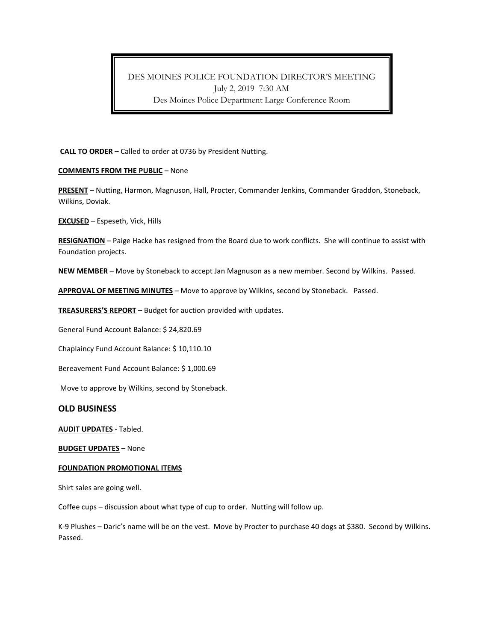# DES MOINES POLICE FOUNDATION DIRECTOR'S MEETING July 2, 2019 7:30 AM Des Moines Police Department Large Conference Room

## **CALL TO ORDER** – Called to order at 0736 by President Nutting.

## **COMMENTS FROM THE PUBLIC** – None

**PRESENT** – Nutting, Harmon, Magnuson, Hall, Procter, Commander Jenkins, Commander Graddon, Stoneback, Wilkins, Doviak.

**EXCUSED** – Espeseth, Vick, Hills

**RESIGNATION** – Paige Hacke has resigned from the Board due to work conflicts. She will continue to assist with Foundation projects.

**NEW MEMBER** – Move by Stoneback to accept Jan Magnuson as a new member. Second by Wilkins. Passed.

**APPROVAL OF MEETING MINUTES** – Move to approve by Wilkins, second by Stoneback. Passed.

**TREASURERS'S REPORT** – Budget for auction provided with updates.

General Fund Account Balance: \$ 24,820.69

Chaplaincy Fund Account Balance: \$ 10,110.10

Bereavement Fund Account Balance: \$ 1,000.69

Move to approve by Wilkins, second by Stoneback.

## **OLD BUSINESS**

**AUDIT UPDATES** - Tabled.

**BUDGET UPDATES** – None

#### **FOUNDATION PROMOTIONAL ITEMS**

Shirt sales are going well.

Coffee cups – discussion about what type of cup to order. Nutting will follow up.

K-9 Plushes – Daric's name will be on the vest. Move by Procter to purchase 40 dogs at \$380. Second by Wilkins. Passed.